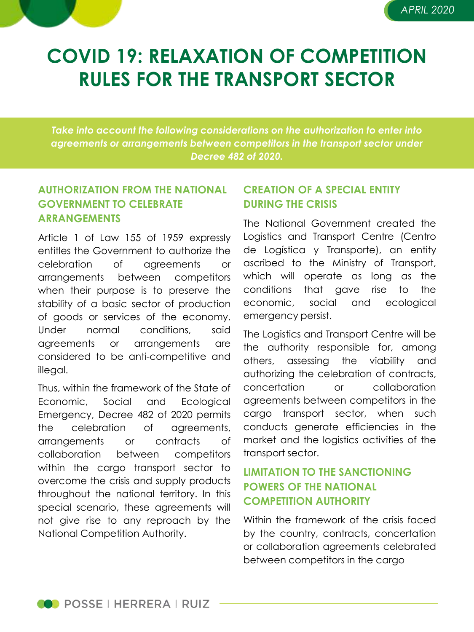

# **COVID 19: RELAXATION OF COMPETITION RULES FOR THE TRANSPORT SECTOR**

*Take into account the following considerations on the authorization to enter into agreements or arrangements between competitors in the transport sector under Decree 482 of 2020.*

#### **AUTHORIZATION FROM THE NATIONAL GOVERNMENT TO CELEBRATE ARRANGEMENTS**

Article 1 of Law 155 of 1959 expressly entitles the Government to authorize the celebration of agreements or arrangements between competitors when their purpose is to preserve the stability of a basic sector of production of goods or services of the economy. Under normal conditions, said agreements or arrangements are considered to be anti-competitive and illegal.

Thus, within the framework of the State of Economic, Social and Ecological Emergency, Decree 482 of 2020 permits the celebration of agreements, arrangements or contracts of collaboration between competitors within the cargo transport sector to overcome the crisis and supply products throughout the national territory. In this special scenario, these agreements will not give rise to any reproach by the National Competition Authority.

### **CREATION OF A SPECIAL ENTITY DURING THE CRISIS**

The National Government created the Logistics and Transport Centre (Centro de Logística y Transporte), an entity ascribed to the Ministry of Transport, which will operate as long as the conditions that gave rise to the economic, social and ecological emergency persist.

The Logistics and Transport Centre will be the authority responsible for, among others, assessing the viability and authorizing the celebration of contracts, concertation or collaboration agreements between competitors in the cargo transport sector, when such conducts generate efficiencies in the market and the logistics activities of the transport sector.

### **LIMITATION TO THE SANCTIONING POWERS OF THE NATIONAL COMPETITION AUTHORITY**

Within the framework of the crisis faced by the country, contracts, concertation or collaboration agreements celebrated between competitors in the cargo